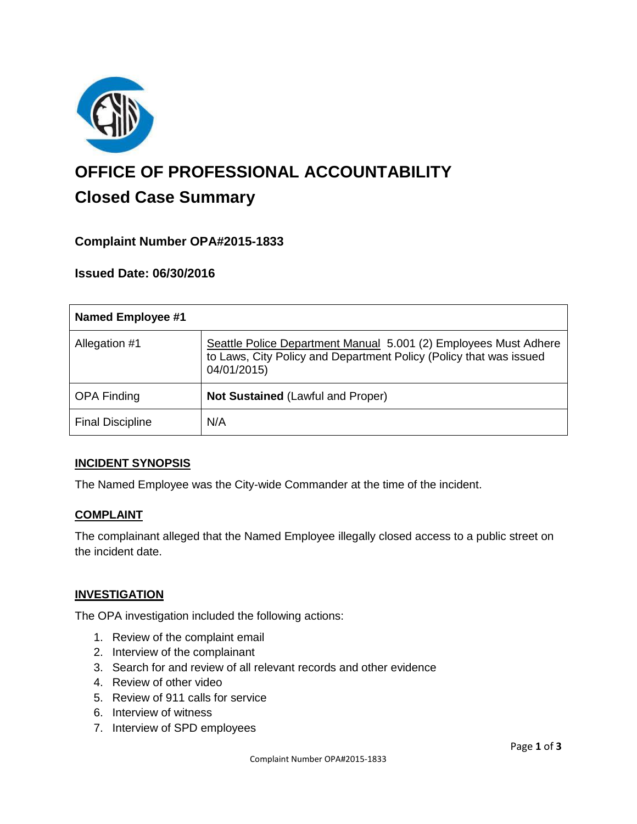

# **OFFICE OF PROFESSIONAL ACCOUNTABILITY Closed Case Summary**

## **Complaint Number OPA#2015-1833**

### **Issued Date: 06/30/2016**

| <b>Named Employee #1</b> |                                                                                                                                                       |
|--------------------------|-------------------------------------------------------------------------------------------------------------------------------------------------------|
| Allegation #1            | Seattle Police Department Manual 5.001 (2) Employees Must Adhere<br>to Laws, City Policy and Department Policy (Policy that was issued<br>04/01/2015) |
| <b>OPA Finding</b>       | <b>Not Sustained (Lawful and Proper)</b>                                                                                                              |
| <b>Final Discipline</b>  | N/A                                                                                                                                                   |

### **INCIDENT SYNOPSIS**

The Named Employee was the City-wide Commander at the time of the incident.

### **COMPLAINT**

The complainant alleged that the Named Employee illegally closed access to a public street on the incident date.

### **INVESTIGATION**

The OPA investigation included the following actions:

- 1. Review of the complaint email
- 2. Interview of the complainant
- 3. Search for and review of all relevant records and other evidence
- 4. Review of other video
- 5. Review of 911 calls for service
- 6. Interview of witness
- 7. Interview of SPD employees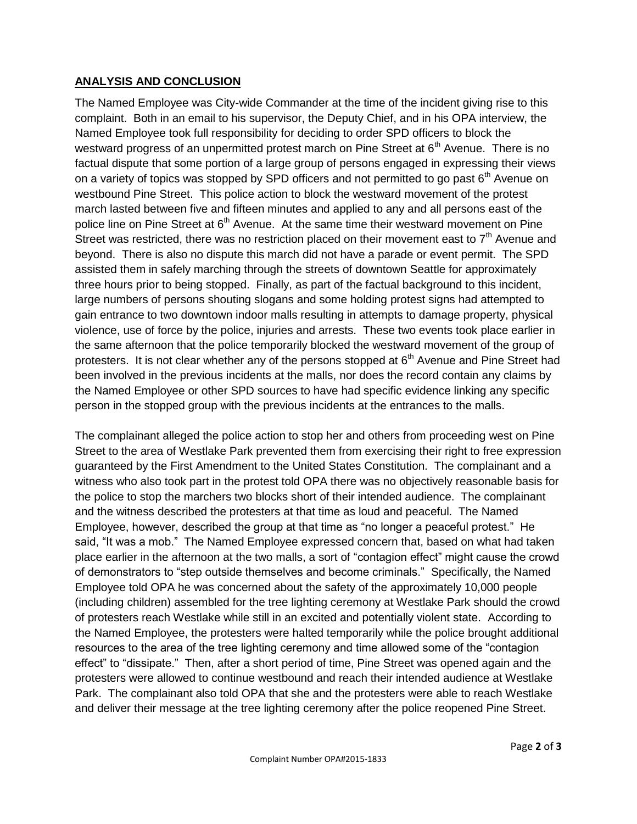## **ANALYSIS AND CONCLUSION**

The Named Employee was City-wide Commander at the time of the incident giving rise to this complaint. Both in an email to his supervisor, the Deputy Chief, and in his OPA interview, the Named Employee took full responsibility for deciding to order SPD officers to block the westward progress of an unpermitted protest march on Pine Street at  $6<sup>th</sup>$  Avenue. There is no factual dispute that some portion of a large group of persons engaged in expressing their views on a variety of topics was stopped by SPD officers and not permitted to go past  $6<sup>th</sup>$  Avenue on westbound Pine Street. This police action to block the westward movement of the protest march lasted between five and fifteen minutes and applied to any and all persons east of the police line on Pine Street at 6<sup>th</sup> Avenue. At the same time their westward movement on Pine Street was restricted, there was no restriction placed on their movement east to  $7<sup>th</sup>$  Avenue and beyond. There is also no dispute this march did not have a parade or event permit. The SPD assisted them in safely marching through the streets of downtown Seattle for approximately three hours prior to being stopped. Finally, as part of the factual background to this incident, large numbers of persons shouting slogans and some holding protest signs had attempted to gain entrance to two downtown indoor malls resulting in attempts to damage property, physical violence, use of force by the police, injuries and arrests. These two events took place earlier in the same afternoon that the police temporarily blocked the westward movement of the group of protesters. It is not clear whether any of the persons stopped at  $6<sup>th</sup>$  Avenue and Pine Street had been involved in the previous incidents at the malls, nor does the record contain any claims by the Named Employee or other SPD sources to have had specific evidence linking any specific person in the stopped group with the previous incidents at the entrances to the malls.

The complainant alleged the police action to stop her and others from proceeding west on Pine Street to the area of Westlake Park prevented them from exercising their right to free expression guaranteed by the First Amendment to the United States Constitution. The complainant and a witness who also took part in the protest told OPA there was no objectively reasonable basis for the police to stop the marchers two blocks short of their intended audience. The complainant and the witness described the protesters at that time as loud and peaceful. The Named Employee, however, described the group at that time as "no longer a peaceful protest." He said, "It was a mob." The Named Employee expressed concern that, based on what had taken place earlier in the afternoon at the two malls, a sort of "contagion effect" might cause the crowd of demonstrators to "step outside themselves and become criminals." Specifically, the Named Employee told OPA he was concerned about the safety of the approximately 10,000 people (including children) assembled for the tree lighting ceremony at Westlake Park should the crowd of protesters reach Westlake while still in an excited and potentially violent state. According to the Named Employee, the protesters were halted temporarily while the police brought additional resources to the area of the tree lighting ceremony and time allowed some of the "contagion effect" to "dissipate." Then, after a short period of time, Pine Street was opened again and the protesters were allowed to continue westbound and reach their intended audience at Westlake Park. The complainant also told OPA that she and the protesters were able to reach Westlake and deliver their message at the tree lighting ceremony after the police reopened Pine Street.